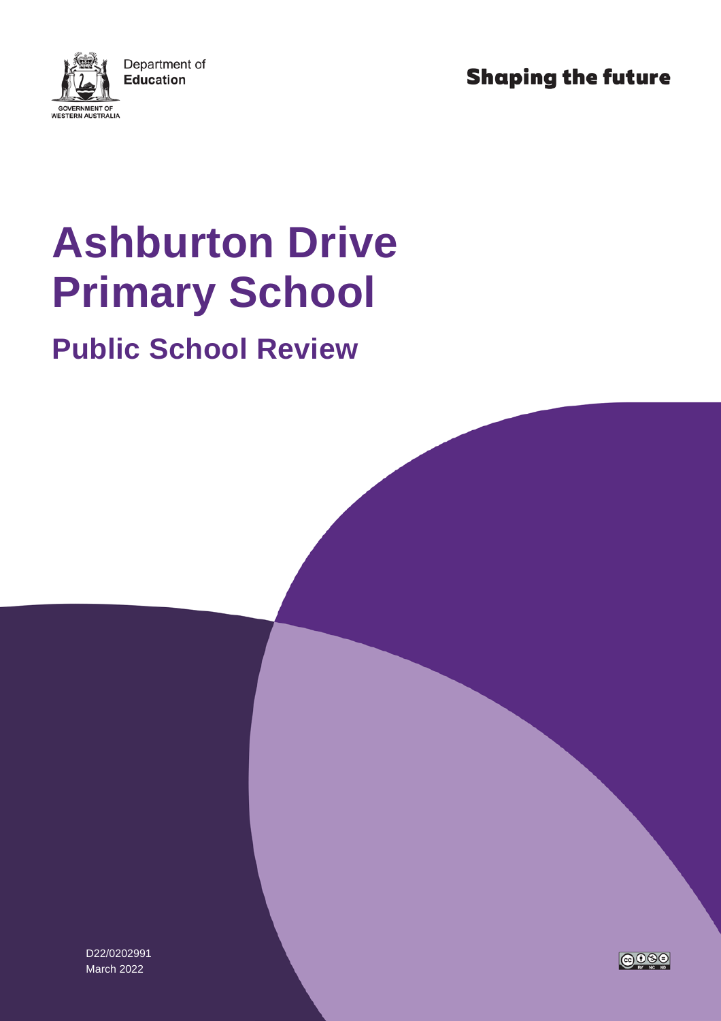**Shaping the future** 



# **Ashburton Drive Primary School**

## **Public School Review**

D22/0202991 March 2022

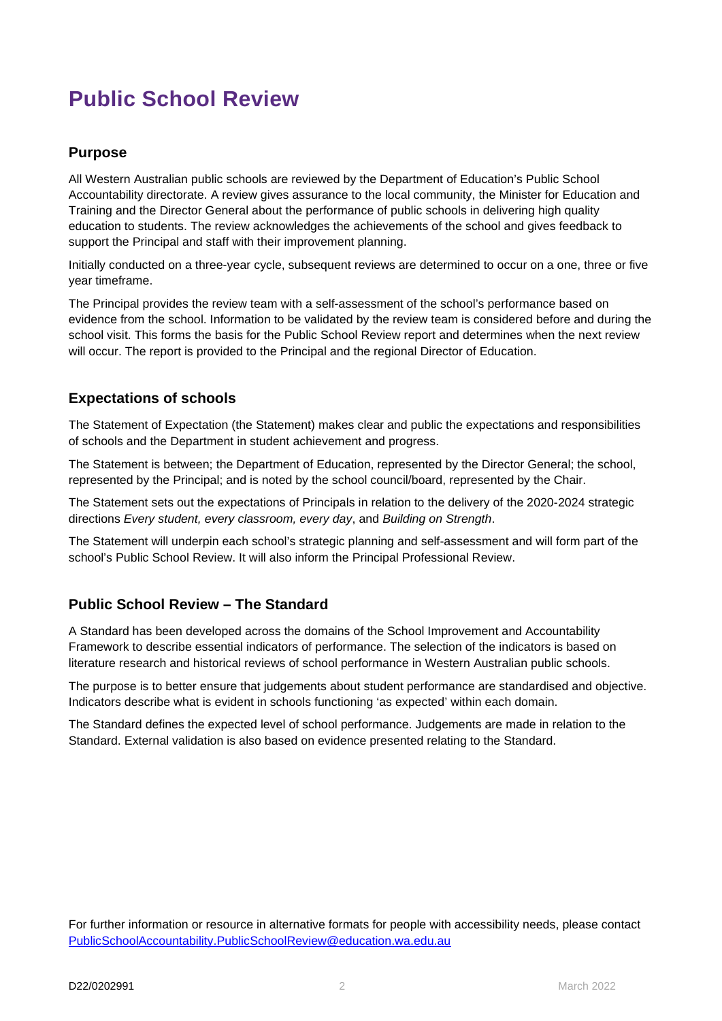### **Public School Review**

#### **Purpose**

All Western Australian public schools are reviewed by the Department of Education's Public School Accountability directorate. A review gives assurance to the local community, the Minister for Education and Training and the Director General about the performance of public schools in delivering high quality education to students. The review acknowledges the achievements of the school and gives feedback to support the Principal and staff with their improvement planning.

Initially conducted on a three-year cycle, subsequent reviews are determined to occur on a one, three or five year timeframe.

The Principal provides the review team with a self-assessment of the school's performance based on evidence from the school. Information to be validated by the review team is considered before and during the school visit. This forms the basis for the Public School Review report and determines when the next review will occur. The report is provided to the Principal and the regional Director of Education.

#### **Expectations of schools**

The Statement of Expectation (the Statement) makes clear and public the expectations and responsibilities of schools and the Department in student achievement and progress.

The Statement is between; the Department of Education, represented by the Director General; the school, represented by the Principal; and is noted by the school council/board, represented by the Chair.

The Statement sets out the expectations of Principals in relation to the delivery of the 2020-2024 strategic directions *Every student, every classroom, every day*, and *Building on Strength*.

The Statement will underpin each school's strategic planning and self-assessment and will form part of the school's Public School Review. It will also inform the Principal Professional Review.

#### **Public School Review – The Standard**

A Standard has been developed across the domains of the School Improvement and Accountability Framework to describe essential indicators of performance. The selection of the indicators is based on literature research and historical reviews of school performance in Western Australian public schools.

The purpose is to better ensure that judgements about student performance are standardised and objective. Indicators describe what is evident in schools functioning 'as expected' within each domain.

The Standard defines the expected level of school performance. Judgements are made in relation to the Standard. External validation is also based on evidence presented relating to the Standard.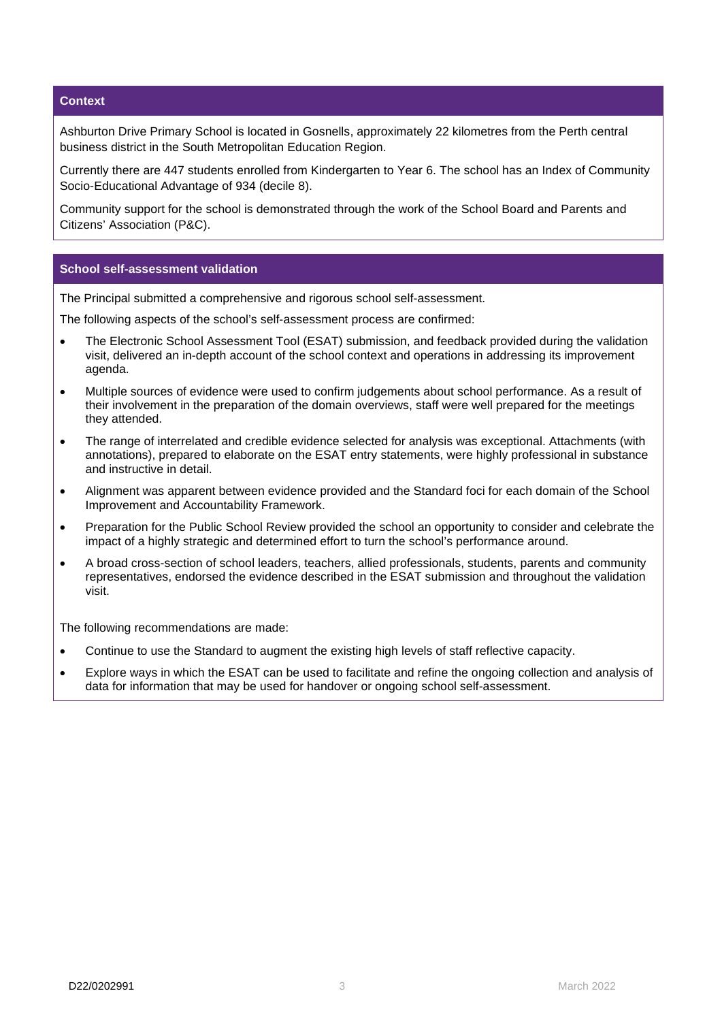#### **Context**

Ashburton Drive Primary School is located in Gosnells, approximately 22 kilometres from the Perth central business district in the South Metropolitan Education Region.

Currently there are 447 students enrolled from Kindergarten to Year 6. The school has an Index of Community Socio-Educational Advantage of 934 (decile 8).

Community support for the school is demonstrated through the work of the School Board and Parents and Citizens' Association (P&C).

#### **School self-assessment validation**

The Principal submitted a comprehensive and rigorous school self-assessment.

The following aspects of the school's self-assessment process are confirmed:

- The Electronic School Assessment Tool (ESAT) submission, and feedback provided during the validation visit, delivered an in-depth account of the school context and operations in addressing its improvement agenda.
- Multiple sources of evidence were used to confirm judgements about school performance. As a result of their involvement in the preparation of the domain overviews, staff were well prepared for the meetings they attended.
- The range of interrelated and credible evidence selected for analysis was exceptional. Attachments (with annotations), prepared to elaborate on the ESAT entry statements, were highly professional in substance and instructive in detail.
- Alignment was apparent between evidence provided and the Standard foci for each domain of the School Improvement and Accountability Framework.
- Preparation for the Public School Review provided the school an opportunity to consider and celebrate the impact of a highly strategic and determined effort to turn the school's performance around.
- A broad cross-section of school leaders, teachers, allied professionals, students, parents and community representatives, endorsed the evidence described in the ESAT submission and throughout the validation visit.

The following recommendations are made:

- Continue to use the Standard to augment the existing high levels of staff reflective capacity.
- Explore ways in which the ESAT can be used to facilitate and refine the ongoing collection and analysis of data for information that may be used for handover or ongoing school self-assessment.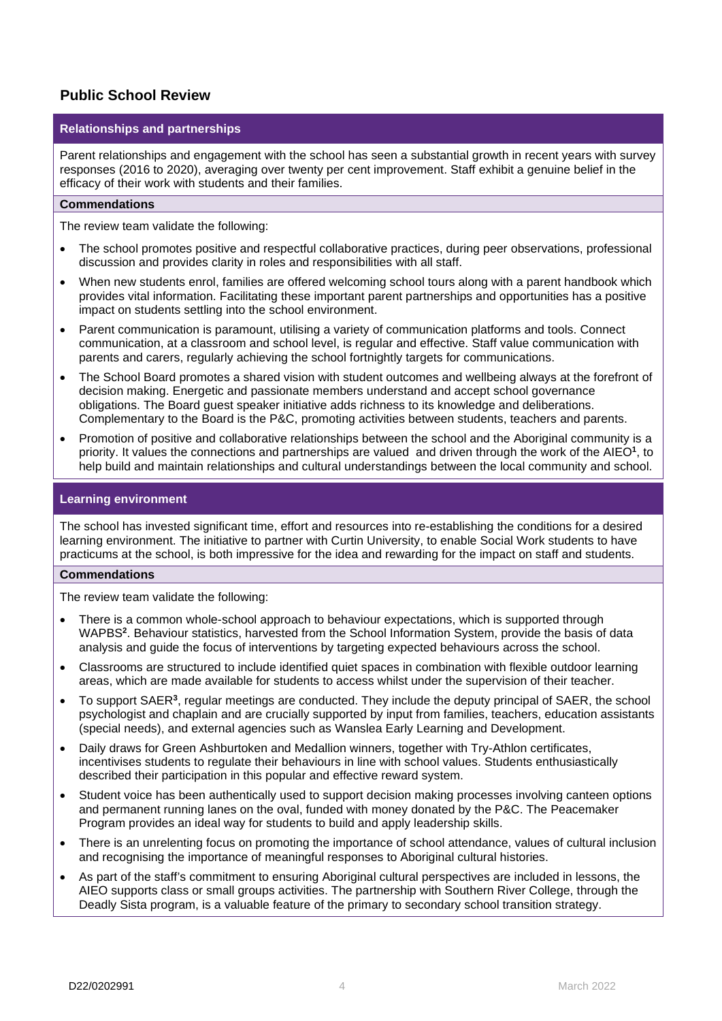#### **Public School Review**

#### **Relationships and partnerships**

Parent relationships and engagement with the school has seen a substantial growth in recent years with survey responses (2016 to 2020), averaging over twenty per cent improvement. Staff exhibit a genuine belief in the efficacy of their work with students and their families.

#### **Commendations**

The review team validate the following:

- The school promotes positive and respectful collaborative practices, during peer observations, professional discussion and provides clarity in roles and responsibilities with all staff.
- When new students enrol, families are offered welcoming school tours along with a parent handbook which provides vital information. Facilitating these important parent partnerships and opportunities has a positive impact on students settling into the school environment.
- Parent communication is paramount, utilising a variety of communication platforms and tools. Connect communication, at a classroom and school level, is regular and effective. Staff value communication with parents and carers, regularly achieving the school fortnightly targets for communications.
- The School Board promotes a shared vision with student outcomes and wellbeing always at the forefront of decision making. Energetic and passionate members understand and accept school governance obligations. The Board guest speaker initiative adds richness to its knowledge and deliberations. Complementary to the Board is the P&C, promoting activities between students, teachers and parents.
- Promotion of positive and collaborative relationships between the school and the Aboriginal community is a priority. It values the connections and partnerships are valued and driven through the work of the AIEO**<sup>1</sup>**, to help build and maintain relationships and cultural understandings between the local community and school.

#### **Learning environment**

The school has invested significant time, effort and resources into re-establishing the conditions for a desired learning environment. The initiative to partner with Curtin University, to enable Social Work students to have practicums at the school, is both impressive for the idea and rewarding for the impact on staff and students.

#### **Commendations**

The review team validate the following:

- There is a common whole-school approach to behaviour expectations, which is supported through WAPBS**<sup>2</sup>**. Behaviour statistics, harvested from the School Information System, provide the basis of data analysis and guide the focus of interventions by targeting expected behaviours across the school.
- Classrooms are structured to include identified quiet spaces in combination with flexible outdoor learning areas, which are made available for students to access whilst under the supervision of their teacher.
- To support SAER**<sup>3</sup>**, regular meetings are conducted. They include the deputy principal of SAER, the school psychologist and chaplain and are crucially supported by input from families, teachers, education assistants (special needs), and external agencies such as Wanslea Early Learning and Development.
- Daily draws for Green Ashburtoken and Medallion winners, together with Try-Athlon certificates, incentivises students to regulate their behaviours in line with school values. Students enthusiastically described their participation in this popular and effective reward system.
- Student voice has been authentically used to support decision making processes involving canteen options and permanent running lanes on the oval, funded with money donated by the P&C. The Peacemaker Program provides an ideal way for students to build and apply leadership skills.
- There is an unrelenting focus on promoting the importance of school attendance, values of cultural inclusion and recognising the importance of meaningful responses to Aboriginal cultural histories.
- As part of the staff's commitment to ensuring Aboriginal cultural perspectives are included in lessons, the AIEO supports class or small groups activities. The partnership with Southern River College, through the Deadly Sista program, is a valuable feature of the primary to secondary school transition strategy.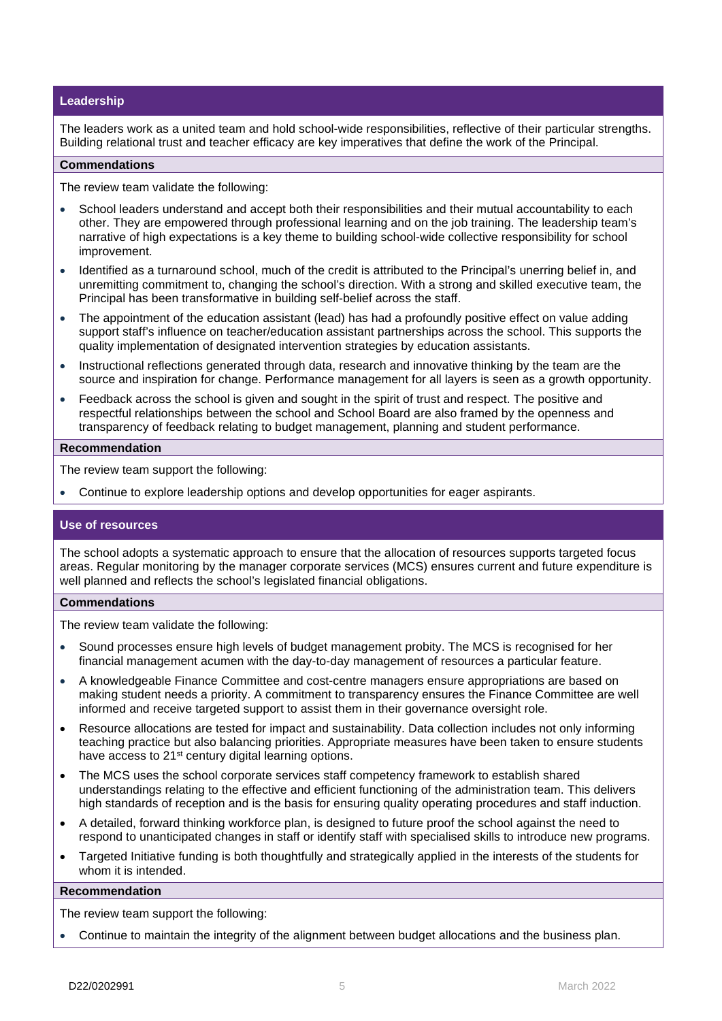#### **Leadership**

The leaders work as a united team and hold school-wide responsibilities, reflective of their particular strengths. Building relational trust and teacher efficacy are key imperatives that define the work of the Principal.

#### **Commendations**

The review team validate the following:

- School leaders understand and accept both their responsibilities and their mutual accountability to each other. They are empowered through professional learning and on the job training. The leadership team's narrative of high expectations is a key theme to building school-wide collective responsibility for school improvement.
- Identified as a turnaround school, much of the credit is attributed to the Principal's unerring belief in, and unremitting commitment to, changing the school's direction. With a strong and skilled executive team, the Principal has been transformative in building self-belief across the staff.
- The appointment of the education assistant (lead) has had a profoundly positive effect on value adding support staff's influence on teacher/education assistant partnerships across the school. This supports the quality implementation of designated intervention strategies by education assistants.
- Instructional reflections generated through data, research and innovative thinking by the team are the source and inspiration for change. Performance management for all layers is seen as a growth opportunity.
- Feedback across the school is given and sought in the spirit of trust and respect. The positive and respectful relationships between the school and School Board are also framed by the openness and transparency of feedback relating to budget management, planning and student performance.

#### **Recommendation**

The review team support the following:

• Continue to explore leadership options and develop opportunities for eager aspirants.

#### **Use of resources**

The school adopts a systematic approach to ensure that the allocation of resources supports targeted focus areas. Regular monitoring by the manager corporate services (MCS) ensures current and future expenditure is well planned and reflects the school's legislated financial obligations.

#### **Commendations**

The review team validate the following:

- Sound processes ensure high levels of budget management probity. The MCS is recognised for her financial management acumen with the day-to-day management of resources a particular feature.
- A knowledgeable Finance Committee and cost-centre managers ensure appropriations are based on making student needs a priority. A commitment to transparency ensures the Finance Committee are well informed and receive targeted support to assist them in their governance oversight role.
- Resource allocations are tested for impact and sustainability. Data collection includes not only informing teaching practice but also balancing priorities. Appropriate measures have been taken to ensure students have access to 21<sup>st</sup> century digital learning options.
- The MCS uses the school corporate services staff competency framework to establish shared understandings relating to the effective and efficient functioning of the administration team. This delivers high standards of reception and is the basis for ensuring quality operating procedures and staff induction.
- A detailed, forward thinking workforce plan, is designed to future proof the school against the need to respond to unanticipated changes in staff or identify staff with specialised skills to introduce new programs.
- Targeted Initiative funding is both thoughtfully and strategically applied in the interests of the students for whom it is intended.

#### **Recommendation**

The review team support the following:

• Continue to maintain the integrity of the alignment between budget allocations and the business plan.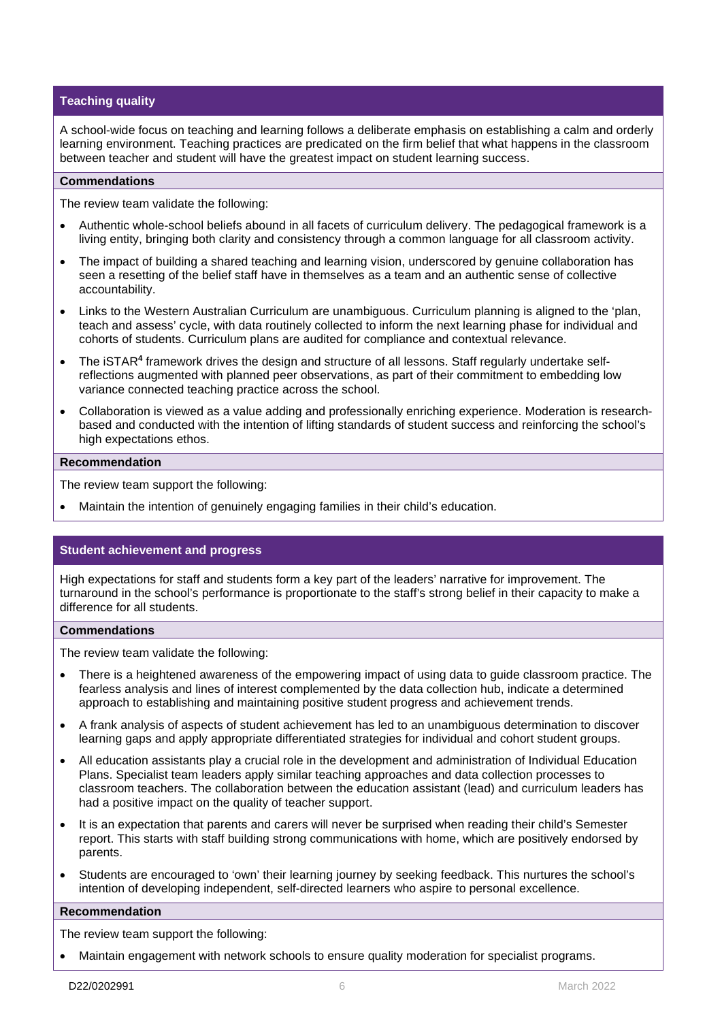#### **Teaching quality**

A school-wide focus on teaching and learning follows a deliberate emphasis on establishing a calm and orderly learning environment. Teaching practices are predicated on the firm belief that what happens in the classroom between teacher and student will have the greatest impact on student learning success.

#### **Commendations**

The review team validate the following:

- Authentic whole-school beliefs abound in all facets of curriculum delivery. The pedagogical framework is a living entity, bringing both clarity and consistency through a common language for all classroom activity.
- The impact of building a shared teaching and learning vision, underscored by genuine collaboration has seen a resetting of the belief staff have in themselves as a team and an authentic sense of collective accountability.
- Links to the Western Australian Curriculum are unambiguous. Curriculum planning is aligned to the 'plan, teach and assess' cycle, with data routinely collected to inform the next learning phase for individual and cohorts of students. Curriculum plans are audited for compliance and contextual relevance.
- The iSTAR**<sup>4</sup>** framework drives the design and structure of all lessons. Staff regularly undertake selfreflections augmented with planned peer observations, as part of their commitment to embedding low variance connected teaching practice across the school.
- Collaboration is viewed as a value adding and professionally enriching experience. Moderation is researchbased and conducted with the intention of lifting standards of student success and reinforcing the school's high expectations ethos.

#### **Recommendation**

The review team support the following:

• Maintain the intention of genuinely engaging families in their child's education.

#### **Student achievement and progress**

High expectations for staff and students form a key part of the leaders' narrative for improvement. The turnaround in the school's performance is proportionate to the staff's strong belief in their capacity to make a difference for all students.

#### **Commendations**

The review team validate the following:

- There is a heightened awareness of the empowering impact of using data to guide classroom practice. The fearless analysis and lines of interest complemented by the data collection hub, indicate a determined approach to establishing and maintaining positive student progress and achievement trends.
- A frank analysis of aspects of student achievement has led to an unambiguous determination to discover learning gaps and apply appropriate differentiated strategies for individual and cohort student groups.
- All education assistants play a crucial role in the development and administration of Individual Education Plans. Specialist team leaders apply similar teaching approaches and data collection processes to classroom teachers. The collaboration between the education assistant (lead) and curriculum leaders has had a positive impact on the quality of teacher support.
- It is an expectation that parents and carers will never be surprised when reading their child's Semester report. This starts with staff building strong communications with home, which are positively endorsed by parents.
- Students are encouraged to 'own' their learning journey by seeking feedback. This nurtures the school's intention of developing independent, self-directed learners who aspire to personal excellence.

#### **Recommendation**

The review team support the following:

• Maintain engagement with network schools to ensure quality moderation for specialist programs.